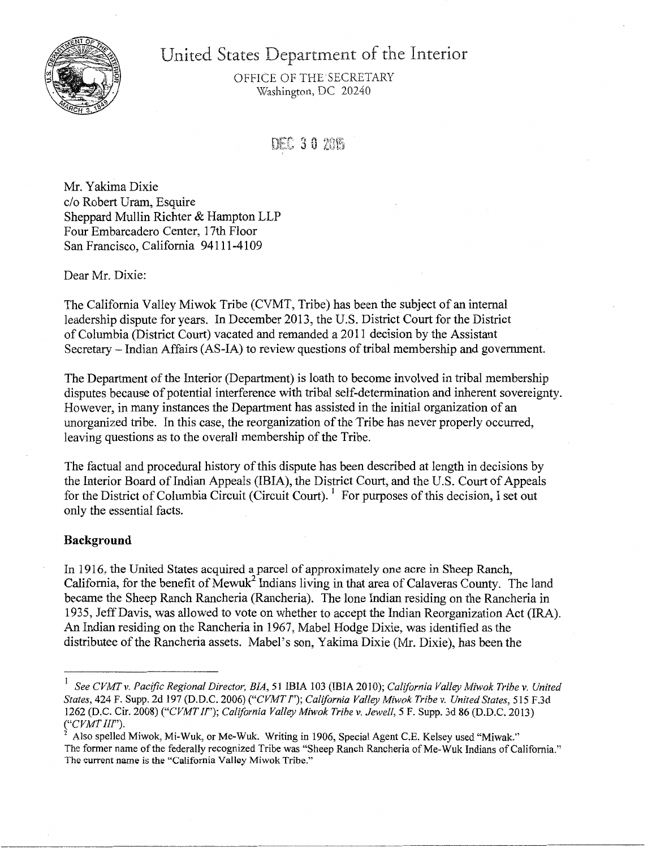

United States Department of the Interior

OFFICE OF THE SECRETARY Washington, DC 20240

DEC 30 2015

Mr. Yakima Dixie c/o Robert Uram, Esquire Sheppard Mullin Richter & Hampton LLP Four Embarcadero Center, 17th Floor San Francisco, California 94111-4109

Dear Mr. Dixie:

The California Valley Miwok Tribe (CVMT, Tribe) has been the subject of an internal leadership dispute for years. In December 2013, the U.S. District Court for the District of Columbia (District Court) vacated and remanded a 2011 decision by the Assistant Secretary- Indian Affairs (AS-IA) to review questions of tribal membership and government.

The Department of the Interior (Department) is loath to become involved in tribal membership disputes because of potential interference with tribal self-determination and inherent sovereignty. However, in many instances the Department has assisted in the initial organization of an unorganized tribe. In this case, the reorganization of the Tribe has never properly occurred, leaving questions as to the overall membership of the Tribe.

The factual and procedural history of this dispute has been described at length in decisions by the Interior Board of Indian Appeals (IBIA), the District Court, and the U.S. Court of Appeals for the District of Columbia Circuit (Circuit Court). <sup>1</sup> For purposes of this decision, I set out only the essential facts.

# **Background**

In 1916, the United States acquired a parcel of approximately one acre in Sheep Ranch, California, for the benefit of Mewuk<sup>2</sup> Indians living in that area of Calaveras County. The land became the Sheep Ranch Rancheria (Rancheria). The lone Indian residing on the Rancheria in 1935, Jeff Davis, was allowed to vote on whether to accept the Indian Reorganization Act (IRA). An Indian residing on the Rancheria in 1967, Mabel Hodge Dixie, was identified as the distributee of the Rancheria assets. Mabel's son, Yakima Dixie (Mr. Dixie), has been the

<sup>I</sup>*See CVMTv. Pacific Regional Director, BIA, 51* IBIA 103 (IBIA 2010); *California Valley Miwok Tribe v. United States,* 424 F. Supp. 2d 197 (D.D.C. 2006) *("CVMT* I"); *California Valley Miwok Tribe v. United States,* 515 F.3d 1262 (D.C. Cir. 2008) *("CVMT If'); California Valley Miwok Tribe v. Jewell, 5* F. Supp. 3d 86 (D.D.C. 2013) *("CVMT III").* 

<sup>2</sup> Also spelled Miwok, Mi-Wuk, or Me-Wuk. Writing in 1906, Special Agent C.E. Kelsey used "Miwak." The former name of the federally recognized Tribe was "Sheep Ranch Rancheria of Me-Wuk Indians of California." The current name is the "California Valley Miwok Tribe."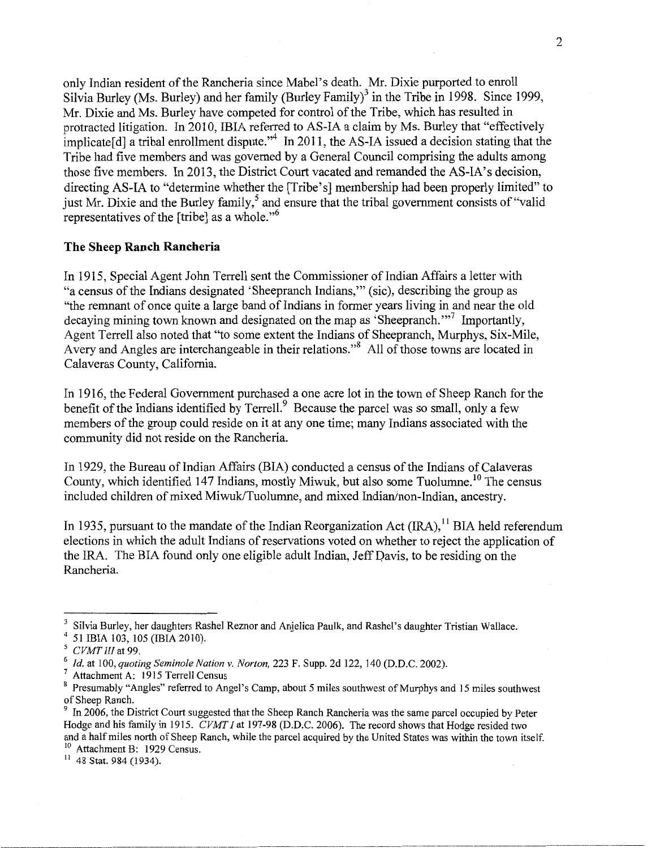only Indian resident of the Rancheria since Mabel's death. Mr. Dixie purported to enroll Silvia Burley (Ms. Burley) and her family (Burley Family)<sup>3</sup> in the Tribe in 1998. Since 1999, Mr. Dixie and Ms. Burley have competed for control of the Tribe, which has resulted in protracted litigation. In 2010, IBIA referred to AS-IA a claim by Ms. Burley that "effectively implicate<sup>[d]</sup> a tribal enrollment dispute.<sup> $34$ </sup> In 2011, the AS-IA issued a decision stating that the Tribe had five members and was governed by a General Council comprising the adults among those five members. In 2013, the District Court vacated and remanded the AS-IA's decision, directing AS-IA to "determine whether the [Tribe's] membership had been properly limited" to just Mr. Dixie and the Burley family,<sup>5</sup> and ensure that the tribal government consists of "valid" representatives of the [tribe] as a whole."<sup>6</sup>

## **The Sheep Ranch Rancheria**

In 1915, Special Agent John Terrell sent the Commissioner of Indian Affairs a letter with "a census of the Indians designated 'Sheepranch Indians,'" (sic), describing the group as "the remnant of once quite a large band of Indians in former years living in and near the old decaying mining town known and designated on the map as 'Sheepranch."'7 Importantly, Agent Terrell also noted that "to some extent the Indians of Sheepranch, Murphys, Six-Mile, Avery and Angles are interchangeable in their relations."<sup>8</sup> All of those towns are located in Calaveras County, California

In 1916, the Federal Government purchased a one acre lot in the town of Sheep Ranch for the benefit of the Indians identified by Terrell.<sup>9</sup> Because the parcel was so small, only a few members of the group could reside on it at any one time; many Indians associated with the community did not reside on the Rancheria.

In 1929, the Bureau of Indian Affairs (BIA) conducted a census of the Indians of Calaveras County, which identified 147 Indians, mostly Miwuk, but also some Tuolumne.<sup>10</sup> The census included children of mixed Miwuk/Tuolumne, and mixed Indian/non-Indian, ancestry.

In 1935, pursuant to the mandate of the Indian Reorganization Act  $(IRA)$ , <sup>11</sup> BIA held referendum elections in which the adult Indians of reservations voted on whether to reject the application of the IRA. The BIA found only one eligible adult Indian, Jeff Davis, to be residing on the Rancheria.

Silvia Burley, her daughters Rashel Reznor and Anjelica Paulk, and Rashel's daughter Tristian Wallace.<br>51 IBIA 103, 105 (IBIA 2010).<br>*CVMT III* at 99.

<sup>&</sup>lt;sup>6</sup> *Id.* at 100, *quoting Seminole Nation v. Norton*, 223 F. Supp. 2d 122, 140 (D.D.C. 2002).<br><sup>7</sup> Attachment A: 1915 Terrell Census<br><sup>8</sup> Presumably "Angles" referred to Angel's Camp, about 5 miles southwest of Murphys and of Sheep Ranch.<br><sup>9</sup> In 2006, the District Court suggested that the Sheep Ranch Rancheria was the same parcel occupied by Peter

Hodge and his family in 1915. *CVMT I* at 197-98 (D.D.C. 2006). The record shows that Hodge resided two and a half miles north of Sheep Ranch, while the parcel acquired by the United States was within the town itself.<br><sup>10</sup> Attachment B: 1929 Census.

 $11$  48 Stat. 984 (1934).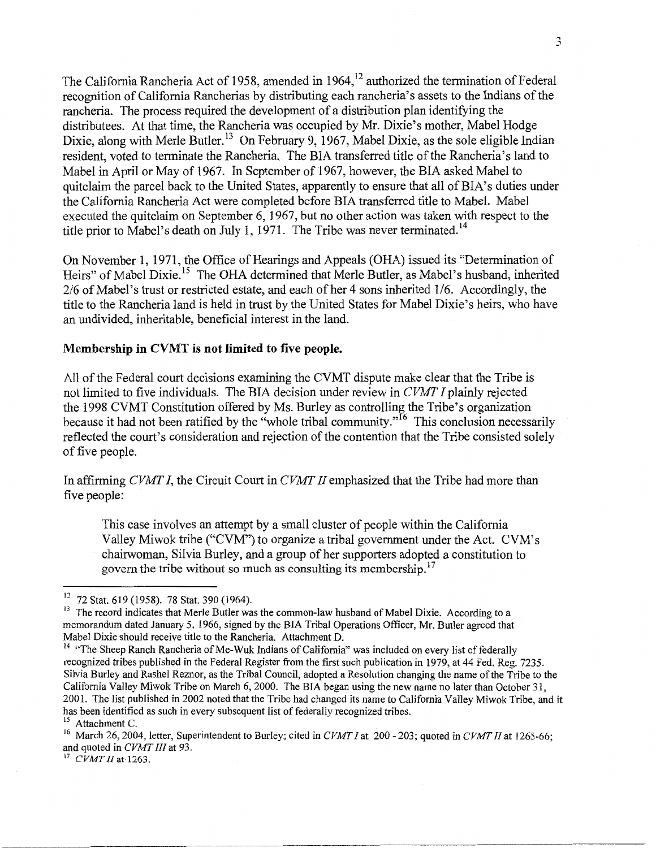The California Rancheria Act of 1958, amended in 1964,<sup>12</sup> authorized the termination of Federal recognition of California Rancherias by distributing each rancheria's assets to the Indians of the rancheria. The process required the development of a distribution plan identifying the distributees. At that time, the Rancheria was occupied by Mr. Dixie's mother, Mabel Hodge Dixie, along with Merle Butler.<sup>13</sup> On February 9, 1967, Mabel Dixie, as the sole eligible Indian resident, voted to terminate the Rancheria. The BIA transferred title of the Rancheria's land to Mabel in April or May of 1967. In September of 1967, however, the BIA asked Mabel to quitclaim the parcel back to the United States, apparently to ensure that all of BIA's duties under the California Rancheria Act were completed before BIA transferred title to Mabel. Mabel executed the quitclaim on September 6, 1967, but no other action was taken with respect to the title prior to Mabel's death on July 1, 1971. The Tribe was never terminated.<sup>14</sup>

On November 1, 1971, the Office of Hearings and Appeals (OHA) issued its "Determination of Heirs" of Mabel Dixie.<sup>15</sup> The OHA determined that Merle Butler, as Mabel's husband, inherited 2/6 of Mabel's trust or restricted estate, and each of her 4 sons inherited 1/6. Accordingly, the title to the Rancheria land is held in trust by the United States for Mabel Dixie's heirs, who have an undivided, inheritable, beneficial interest in the land.

## **Membership in CVMT is not limited to five people.**

All of the Federal court decisions examining the CVMT dispute make clear that the Tribe is not limited to five individuals. The BIA decision under review in *CVM'I' I* plainly rejected the 1998 CVMT Constitution offered by Ms. Burley as controlling the Tribe's organization because it had not been ratified by the "whole tribal community."<sup>16</sup> This conclusion necessarily reflected the court's consideration and rejection of the contention that the Tribe consisted solely of five people.

In affirming *CVMI' I,* the Circuit Court in *CVMI' II* emphasized that the Tribe had more than five people:

This case involves an attempt by a small cluster of people within the California Valley Miwok tribe ("CVM") to organize a tribal government under the Act. CVM's chairwoman, Silvia Burley, and a group of her supporters adopted a constitution to govern the tribe without so much as consulting its membership.<sup>17</sup>

<sup>&</sup>lt;sup>12</sup> 72 Stat. 619 (1958). 78 Stat. 390 (1964).<br><sup>13</sup> The record indicates that Merle Butler was the common-law husband of Mabel Dixie. According to a memorandum dated January *5,* 1966, signed by the BIA Tribal Operations Officer, Mr. Butler agreed that

 $<sup>14</sup>$  "The Sheep Ranch Rancheria of Me-Wuk Indians of California" was included on every list of federally</sup> recognized tribes published in the Federal Register from the first such publication in 1979, at 44 Fed. Reg. 7235. Silvia Burley and Rashel Reznor, as the Tribal Council, adopted a Resolution changing the name of the Tribe to the California Valley Miwok Tribe on March 6, 2000. The BIA began using the new name no later than October 31, 2001. The list published in 2002 noted that the Tribe had changed its name to California Valley Miwok Tribe, and it has been identified as such in every subsequent list of federally recognized tribes.

<sup>&</sup>lt;sup>15</sup> Attachment C.

<sup>&</sup>lt;sup>16</sup> March 26, 2004, letter, Superintendent to Burley; cited in *CVMT I* at 200 - 203; quoted in *CVMT II* at 1265-66; and quoted in *CVMT III* at 93.<br><sup>17</sup> *CVMT II* at 1263.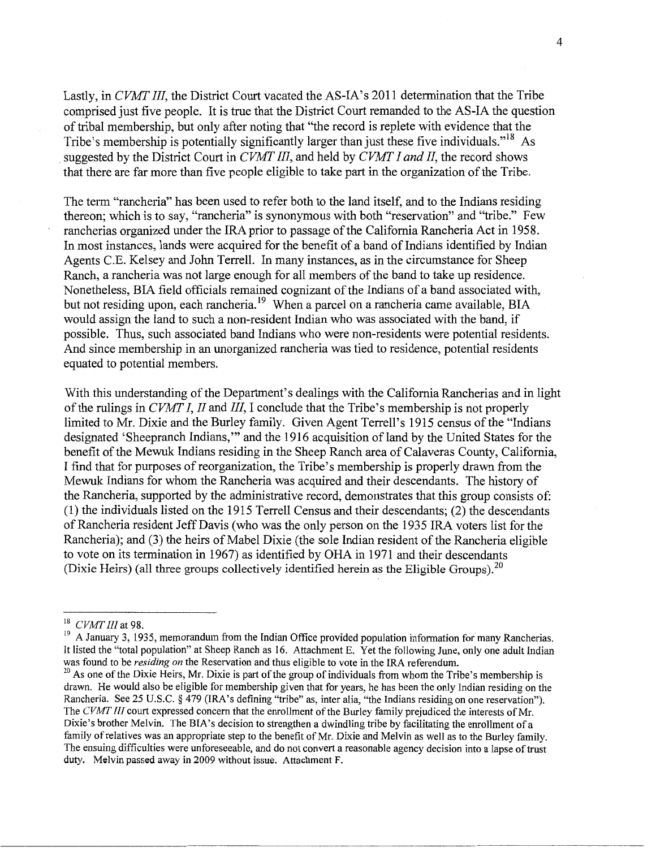Lastly, in *CVMT III,* the District Court vacated the AS-IA's 2011 determination that the Tribe comprised just five people. It is true that the District Court remanded to the AS-IA the question of tribal membership, but only after noting that "the record is replete with evidence that the Tribe's membership is potentially significantly larger than just these five individuals."<sup>18</sup> As . suggested by the District Court in *CVMT III,* and held by *CVMT I and II,* the record shows that there are far more than five people eligible to take part in the organization of the Tribe.

The term "rancheria" has been used to refer both to the land itself, and to the Indians residing thereon; which is to say, "rancheria" is synonymous with both "reservation" and "tribe." Few rancherias organized under the IRA prior to passage of the California Rancheria Act in 1958. In most instances, lands were acquired for the benefit of a band of Indians identified by Indian Agents C.E. Kelsey and John Terrell. In many instances, as in the circumstance for Sheep Ranch, a rancheria was not large enough for all members of the band to take up residence. Nonetheless, BIA field officials remained cognizant of the Indians of a band associated with, but not residing upon, each rancheria.<sup>19</sup> When a parcel on a rancheria came available, BIA would assign the land to such a non-resident Indian who was associated with the band, if possible. Thus, such associated band Indians who were non-residents were potential residents. And since membership in an unorganized rancheria was tied to residence, potential residents equated to potential members.

With this understanding of the Department's dealings with the California Rancherias and in light of the rulings in *CVMT I, II* and *III,* I conclude that the Tribe's membership is not properly limited to Mr. Dixie and the Burley family. Given Agent Terrell's 1915 census of the "Indians designated 'Sheepranch Indians,"' and the 1916 acquisition of land by the United States for the benefit of the Mewuk Indians residing in the Sheep Ranch area of Calaveras County, California, I find that for purposes of reorganization, the Tribe's membership is properly drawn from the Mewuk Indians for whom the Rancheria was acquired and their descendants. The history of the Rancheria, supported by the administrative record, demonstrates that this group consists of: (1) the individuals listed on the 1915 Terrell Census and their descendants; (2) the descendants of Rancheria resident Jeff Davis (who was the only person on the 1935 IRA voters list for the Rancheria); and (3) the heirs of Mabel Dixie (the sole Indian resident of the Rancheria eligible to vote on its termination in 1967) as identified by OHA in 1971 and their descendants (Dixie Heirs) (all three groups collectively identified herein as the Eligible Groups).<sup>20</sup>

<sup>&</sup>lt;sup>18</sup> CVMT III at 98.<br><sup>19</sup> A January 3, 1935, memorandum from the Indian Office provided population information for many Rancherias. It listed the "total population" at Sheep Ranch as 16. Attachment E. Yet the following June, only one adult Indian was found to be *residing on* the Reservation and thus eligible to vote in the IRA referendum.

<sup>&</sup>lt;sup>20</sup> As one of the Dixie Heirs, Mr. Dixie is part of the group of individuals from whom the Tribe's membership is drawn. He would also be eligible for membership given that for years, he has been the only Indian residing on the Rancheria. See 25 U.S.C. *§* 479 (IRA's defining "tribe" as, inter alia, "the Indians residing on one reservation"). The *CVMT Ill* court expressed concern that the enrollment of the Burley family prejudiced the interests of Mr. Dixie's brother Melvin. The BIA's decision to strengthen a dwindling tribe by facilitating the enrollment of a family of relatives was an appropriate step to the benefit of Mr. Dixie and Melvin as well as to the Burley family. The ensuing difficulties were unforeseeable, and do not convert a reasonable agency decision into a lapse of trust duty. Melvin passed away in 2009 without issue. Attachment F.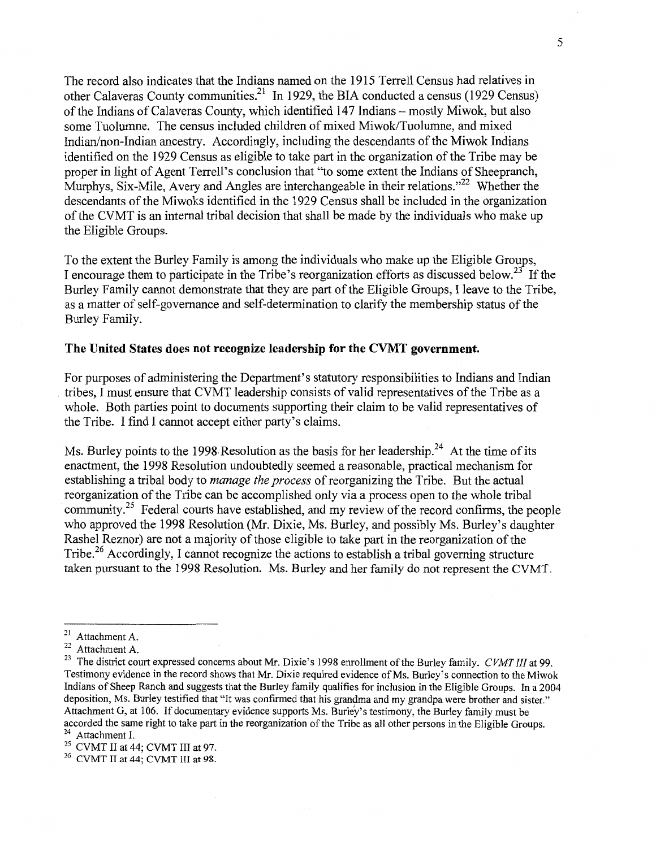The record also indicates that the Indians named on the 1915 Terrell Census had relatives in other Calaveras County communities.<sup>21</sup> In 1929, the BIA conducted a census (1929 Census) of the Indians of Calaveras County, which identified 147 Indians - mostly Miwok, but also some Tuolumne. The census included children of mixed Miwok/Tuolumne, and mixed Indian/non-Indian ancestry. Accordingly, including the descendants of the Miwok Indians identified on the 1929 Census as eligible to take part in the organization of the Tribe may be proper in light of Agent Terrell's conclusion that "to some extent the Indians of Sheepranch, Murphys, Six-Mile, Avery and Angles are interchangeable in their relations."<sup>22</sup> Whether the descendants of the Miwoks identified in the 1929 Census shall be included in the organization of the CVMT is an internal tribal decision that shall be made by the individuals who make up the Eligible Groups.

To the extent the Burley Family is among the individuals who make up the Eligible Groups, I encourage them to participate in the Tribe's reorganization efforts as discussed below.<sup>23</sup> If the Burley Family cannot demonstrate that they are part of the Eligible Groups, I leave to the Tribe, as a matter of self-governance and self-determination to clarify the membership status of the Burley Family.

## **The United States does not recognize leadership for the CVMT government.**

For purposes of administering the Department's statutory responsibilities to Indians and Indian tribes, I must ensure that CVMT leadership consists of valid representatives of the Tribe as a whole. Both parties point to documents supporting their claim to be valid representatives of the Tribe. I find I cannot accept either party's claims.

Ms. Burley points to the 1998 Resolution as the basis for her leadership.<sup>24</sup> At the time of its enactment, the 1998 Resolution undoubtedly seemed a reasonable, practical mechanism for establishing a tribal body to *manage the process* of reorganizing the Tribe. But the actual reorganization of the Tribe can be accomplished only via a process open to the whole tribal community.<sup>25</sup> Federal courts have established, and my review of the record confirms, the people who approved the 1998 Resolution (Mr. Dixie, Ms. Burley, and possibly Ms. Burley's daughter Rashel Reznor) are not a majority of those eligible to take part in the reorganization of the Tribe.<sup>26</sup> Accordingly, I cannot recognize the actions to establish a tribal governing structure taken pursuant to the 1998 Resolution. Ms. Burley and her family do not represent the CVMT.

<sup>&</sup>lt;sup>21</sup> Attachment A.<br><sup>22</sup> Attachment A.

<sup>23</sup> The district court expressed concerns about Mr. Dixie's 1998 enrollment of the Burley family. *CVMT III* at 99. Testimony evidence in the record shows that Mr. Dixie required evidence of Ms. Burley's connection to the Miwok Indians of Sheep Ranch and suggests that the Burley family qualifies for inclusion in the Eligible Groups. In a 2004 deposition, Ms. Burley testified that "It was confirmed that his grandma and my grandpa were brother and sister." Attachment G, at 106. If documentary evidence supports Ms. Burley's testimony, the Burley family must be accorded the same right to take part in the reorganization of the Tribe as all other persons in the Eligible Groups.<br><sup>24</sup> Attachment I.<br><sup>25</sup> CVMT II at 44: CVMT III at 98.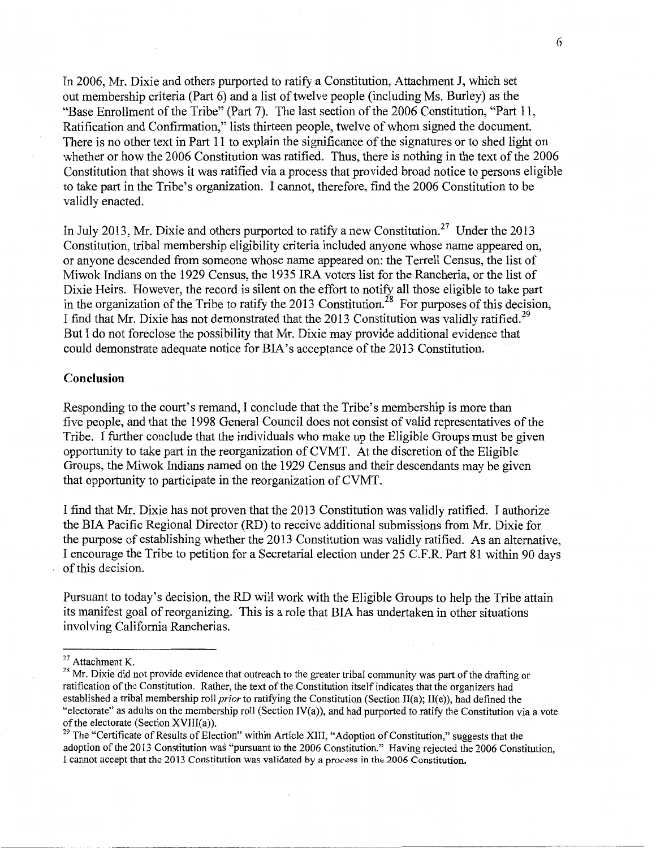In 2006, Mr. Dixie and others purported to ratify a Constitution, Attachment J, which set out membership criteria (Part 6) and a list of twelve people (including Ms. Burley) as the "Base Enrollment of the Tribe" (Part 7). The last section of the 2006 Constitution, "Part 11, Ratification and Confirmation," lists thirteen people, twelve of whom signed the document. There is no other text in Part 11 to explain the significance of the signatures or to shed light on whether or how the 2006 Constitution was ratified. Thus, there is nothing in the text of the 2006 Constitution that shows it was ratified via a process that provided broad notice to persons eligible to take part in the Tribe's organization. I cannot, therefore, find the 2006 Constitution to be validly enacted.

In July 2013, Mr. Dixie and others purported to ratify a new Constitution.<sup>27</sup> Under the 2013 Constitution, tribal membership eligibility criteria included anyone whose name appeared on, or anyone descended from someone whose name appeared on: the Terrell Census, the list of Miwok Indians on the 1929 Census, the 1935 IRA voters list for the Rancheria, or the list of Dixie Heirs. However, the record is silent on the effort to notify all those eligible to take part in the organization of the Tribe to ratify the 2013 Constitution.<sup>28</sup> For purposes of this decision, I find that Mr. Dixie has not demonstrated that the 2013 Constitution was validly ratified.<sup>29</sup> But I do not foreclose the possibility that Mr. Dixie may provide additional evidence that could demonstrate adequate notice for BIA's acceptance of the 2013 Constitution.

### **Conclusion**

Responding to the court's remand, I conclude that the Tribe's membership is more than five people, and that the 1998 General Council does not consist of valid representatives of the Tribe. I further conclude that the individuals who make up the Eligible Groups must be given opportunity to take part in the reorganization of CVMT. At the discretion of the Eligible Groups, the Miwok Indians named on the 1929 Census and their descendants may be given that opportunity to participate in the reorganization of CVMT.

I find that Mr. Dixie has not proven that the 2013 Constitution was validly ratified. I authorize the BIA Pacific Regional Director (RD) to receive additional submissions from Mr. Dixie for the purpose of establishing whether the 2013 Constitution was validly ratified. As an alternative, I encourage the Tribe to petition for a Secretarial election under 25 C.F.R. Part 81 within 90 days of this decision.

Pursuant to today's decision, the RD will work with the Eligible Groups to help the Tribe attain its manifest goal of reorganizing. This is a role that BIA has undertaken in other situations involving California Rancherias.

<sup>&</sup>lt;sup>27</sup> Attachment K.<br><sup>28</sup> Mr. Dixie did not provide evidence that outreach to the greater tribal community was part of the drafting or ratification of the Constitution. Rather, the text of the Constitution itself indicates that the organizers had established a tribal membership roll *prior* to ratifying the Constitution (Section II(a); II(e)), had defined the "electorate" as adults on the membership roll (Section IV(a)), and had purported to ratify the Constitution via a vote of the electorate (Section XVIII(a)).

 $29$  The "Certificate of Results of Election" within Article XIII, "Adoption of Constitution," suggests that the adoption of the 2013 Constitution was "pursuant to the 2006 Constitution." Having rejected the 2006 Constitution, I cannot accept that the 2013 Constitution was validated by a process in the 2006 Constitution.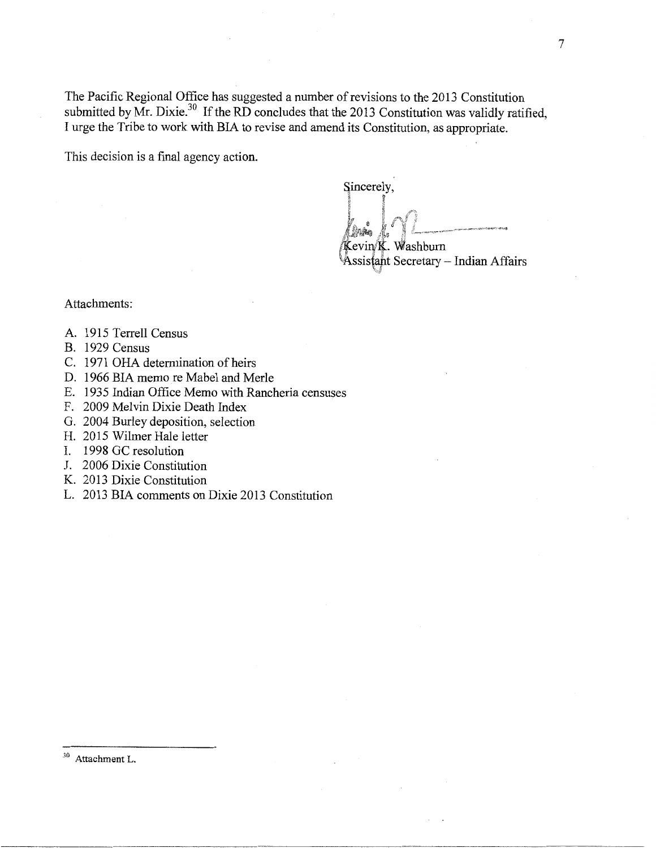The Pacific Regional Office has suggested a number of revisions to the 2013 Constitution submitted by Mr. Dixie.<sup>30</sup> If the RD concludes that the 2013 Constitution was validly ratified, I urge the Tribe to work with BIA to revise and amend its Constitution, as appropriate.

This decision is a final agency action.

Sincerely,

 $\sim$ 

 $\mathcal{R}$ Levin/**K**. Washburn

Assistant Secretary - Indian Affairs

Attachments:

- A. 1915 Terrell Census
- B. 1929 Census
- C. 1971 OHA determination of heirs
- D. 1966 BIA memo re Mabel and Merle
- E. 1935 Indian Office Memo with Rancheria censuses
- F. 2009 Melvin Dixie Death Index
- G. 2004 Burley deposition, selection
- H. 2015 Wilmer Hale letter
- I. 1998 GC resolution
- J. 2006 Dixie Constitution
- K. 2013 Dixie Constitution
- L. 2013 BIA comments on Dixie 2013 Constitution

<sup>30</sup> Attachment L.